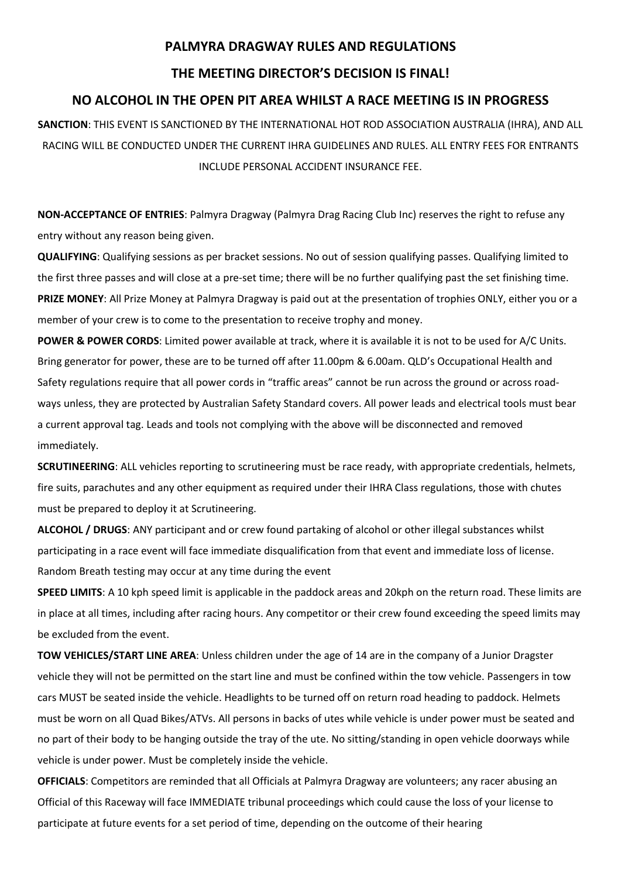## **PALMYRA DRAGWAY RULES AND REGULATIONS**

## **THE MEETING DIRECTOR'S DECISION IS FINAL!**

## **NO ALCOHOL IN THE OPEN PIT AREA WHILST A RACE MEETING IS IN PROGRESS**

**SANCTION**: THIS EVENT IS SANCTIONED BY THE INTERNATIONAL HOT ROD ASSOCIATION AUSTRALIA (IHRA), AND ALL RACING WILL BE CONDUCTED UNDER THE CURRENT IHRA GUIDELINES AND RULES. ALL ENTRY FEES FOR ENTRANTS INCLUDE PERSONAL ACCIDENT INSURANCE FEE.

**NON-ACCEPTANCE OF ENTRIES**: Palmyra Dragway (Palmyra Drag Racing Club Inc) reserves the right to refuse any entry without any reason being given.

**QUALIFYING**: Qualifying sessions as per bracket sessions. No out of session qualifying passes. Qualifying limited to the first three passes and will close at a pre-set time; there will be no further qualifying past the set finishing time. **PRIZE MONEY**: All Prize Money at Palmyra Dragway is paid out at the presentation of trophies ONLY, either you or a member of your crew is to come to the presentation to receive trophy and money.

**POWER & POWER CORDS**: Limited power available at track, where it is available it is not to be used for A/C Units. Bring generator for power, these are to be turned off after 11.00pm & 6.00am. QLD's Occupational Health and Safety regulations require that all power cords in "traffic areas" cannot be run across the ground or across roadways unless, they are protected by Australian Safety Standard covers. All power leads and electrical tools must bear a current approval tag. Leads and tools not complying with the above will be disconnected and removed immediately.

**SCRUTINEERING**: ALL vehicles reporting to scrutineering must be race ready, with appropriate credentials, helmets, fire suits, parachutes and any other equipment as required under their IHRA Class regulations, those with chutes must be prepared to deploy it at Scrutineering.

**ALCOHOL / DRUGS**: ANY participant and or crew found partaking of alcohol or other illegal substances whilst participating in a race event will face immediate disqualification from that event and immediate loss of license. Random Breath testing may occur at any time during the event

**SPEED LIMITS**: A 10 kph speed limit is applicable in the paddock areas and 20kph on the return road. These limits are in place at all times, including after racing hours. Any competitor or their crew found exceeding the speed limits may be excluded from the event.

**TOW VEHICLES/START LINE AREA**: Unless children under the age of 14 are in the company of a Junior Dragster vehicle they will not be permitted on the start line and must be confined within the tow vehicle. Passengers in tow cars MUST be seated inside the vehicle. Headlights to be turned off on return road heading to paddock. Helmets must be worn on all Quad Bikes/ATVs. All persons in backs of utes while vehicle is under power must be seated and no part of their body to be hanging outside the tray of the ute. No sitting/standing in open vehicle doorways while vehicle is under power. Must be completely inside the vehicle.

**OFFICIALS**: Competitors are reminded that all Officials at Palmyra Dragway are volunteers; any racer abusing an Official of this Raceway will face IMMEDIATE tribunal proceedings which could cause the loss of your license to participate at future events for a set period of time, depending on the outcome of their hearing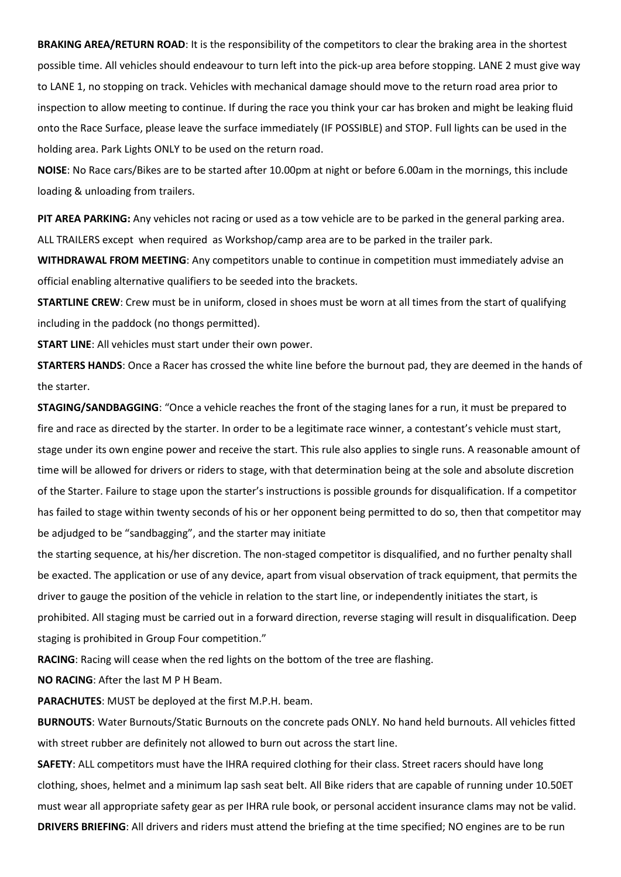**BRAKING AREA/RETURN ROAD**: It is the responsibility of the competitors to clear the braking area in the shortest possible time. All vehicles should endeavour to turn left into the pick-up area before stopping. LANE 2 must give way to LANE 1, no stopping on track. Vehicles with mechanical damage should move to the return road area prior to inspection to allow meeting to continue. If during the race you think your car has broken and might be leaking fluid onto the Race Surface, please leave the surface immediately (IF POSSIBLE) and STOP. Full lights can be used in the holding area. Park Lights ONLY to be used on the return road.

**NOISE**: No Race cars/Bikes are to be started after 10.00pm at night or before 6.00am in the mornings, this include loading & unloading from trailers.

**PIT AREA PARKING:** Any vehicles not racing or used as a tow vehicle are to be parked in the general parking area. ALL TRAILERS except when required as Workshop/camp area are to be parked in the trailer park.

**WITHDRAWAL FROM MEETING**: Any competitors unable to continue in competition must immediately advise an official enabling alternative qualifiers to be seeded into the brackets.

**STARTLINE CREW**: Crew must be in uniform, closed in shoes must be worn at all times from the start of qualifying including in the paddock (no thongs permitted).

**START LINE**: All vehicles must start under their own power.

**STARTERS HANDS**: Once a Racer has crossed the white line before the burnout pad, they are deemed in the hands of the starter.

**STAGING/SANDBAGGING**: "Once a vehicle reaches the front of the staging lanes for a run, it must be prepared to fire and race as directed by the starter. In order to be a legitimate race winner, a contestant's vehicle must start, stage under its own engine power and receive the start. This rule also applies to single runs. A reasonable amount of time will be allowed for drivers or riders to stage, with that determination being at the sole and absolute discretion of the Starter. Failure to stage upon the starter's instructions is possible grounds for disqualification. If a competitor has failed to stage within twenty seconds of his or her opponent being permitted to do so, then that competitor may be adjudged to be "sandbagging", and the starter may initiate

the starting sequence, at his/her discretion. The non-staged competitor is disqualified, and no further penalty shall be exacted. The application or use of any device, apart from visual observation of track equipment, that permits the driver to gauge the position of the vehicle in relation to the start line, or independently initiates the start, is prohibited. All staging must be carried out in a forward direction, reverse staging will result in disqualification. Deep staging is prohibited in Group Four competition."

**RACING**: Racing will cease when the red lights on the bottom of the tree are flashing.

**NO RACING**: After the last M P H Beam.

**PARACHUTES**: MUST be deployed at the first M.P.H. beam.

**BURNOUTS**: Water Burnouts/Static Burnouts on the concrete pads ONLY. No hand held burnouts. All vehicles fitted with street rubber are definitely not allowed to burn out across the start line.

**SAFETY**: ALL competitors must have the IHRA required clothing for their class. Street racers should have long clothing, shoes, helmet and a minimum lap sash seat belt. All Bike riders that are capable of running under 10.50ET must wear all appropriate safety gear as per IHRA rule book, or personal accident insurance clams may not be valid. **DRIVERS BRIEFING**: All drivers and riders must attend the briefing at the time specified; NO engines are to be run